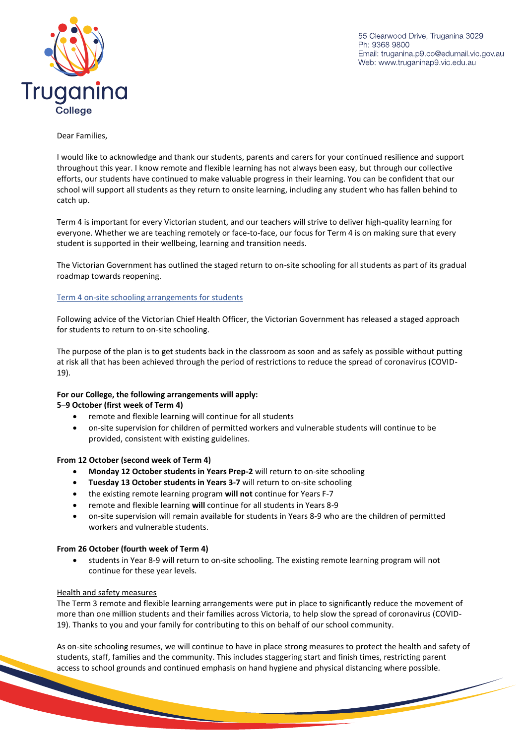55 Clearwood Drive, Truganina 3029 Ph: 9368 9800 Email: truganina.p9.co@edumail.vic.gov.au Web: www.truganinap9.vic.edu.au



### Dear Families,

I would like to acknowledge and thank our students, parents and carers for your continued resilience and support throughout this year. I know remote and flexible learning has not always been easy, but through our collective efforts, our students have continued to make valuable progress in their learning. You can be confident that our school will support all students as they return to onsite learning, including any student who has fallen behind to catch up.

Term 4 is important for every Victorian student, and our teachers will strive to deliver high-quality learning for everyone. Whether we are teaching remotely or face-to-face, our focus for Term 4 is on making sure that every student is supported in their wellbeing, learning and transition needs.

The Victorian Government has outlined the staged return to on-site schooling for all students as part of its gradual roadmap towards reopening.

## Term 4 on-site schooling arrangements for students

Following advice of the Victorian Chief Health Officer, the Victorian Government has released a staged approach for students to return to on-site schooling.

The purpose of the plan is to get students back in the classroom as soon and as safely as possible without putting at risk all that has been achieved through the period of restrictions to reduce the spread of coronavirus (COVID-19).

# **For our College, the following arrangements will apply:**

## **5**–**9 October (first week of Term 4)**

- remote and flexible learning will continue for all students
- on-site supervision for children of permitted workers and vulnerable students will continue to be provided, consistent with existing guidelines.

## **From 12 October (second week of Term 4)**

- **Monday 12 October students in Years Prep-2** will return to on-site schooling
- **Tuesday 13 October students in Years 3-7** will return to on-site schooling
- the existing remote learning program **will not** continue for Years F-7
- remote and flexible learning **will** continue for all students in Years 8-9
- on-site supervision will remain available for students in Years 8-9 who are the children of permitted workers and vulnerable students.

## **From 26 October (fourth week of Term 4)**

 students in Year 8-9 will return to on-site schooling. The existing remote learning program will not continue for these year levels.

## Health and safety measures

The Term 3 remote and flexible learning arrangements were put in place to significantly reduce the movement of more than one million students and their families across Victoria, to help slow the spread of coronavirus (COVID-19). Thanks to you and your family for contributing to this on behalf of our school community.

As on-site schooling resumes, we will continue to have in place strong measures to protect the health and safety of students, staff, families and the community. This includes staggering start and finish times, restricting parent access to school grounds and continued emphasis on hand hygiene and physical distancing where possible.